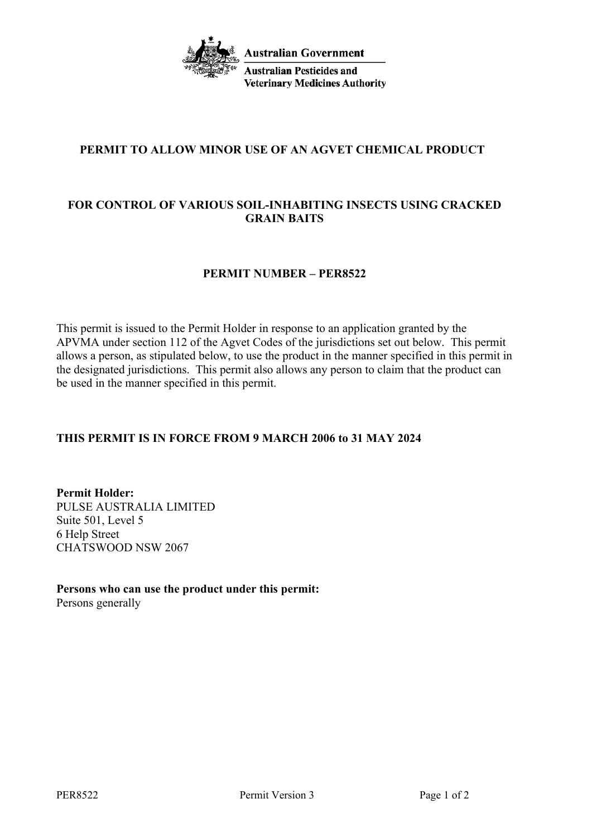

# **PERMIT TO ALLOW MINOR USE OF AN AGVET CHEMICAL PRODUCT**

# **FOR CONTROL OF VARIOUS SOIL-INHABITING INSECTS USING CRACKED GRAIN BAITS**

### **PERMIT NUMBER – PER8522**

This permit is issued to the Permit Holder in response to an application granted by the APVMA under section 112 of the Agvet Codes of the jurisdictions set out below. This permit allows a person, as stipulated below, to use the product in the manner specified in this permit in the designated jurisdictions. This permit also allows any person to claim that the product can be used in the manner specified in this permit.

## **THIS PERMIT IS IN FORCE FROM 9 MARCH 2006 to 31 MAY 2024**

**Permit Holder:** PULSE AUSTRALIA LIMITED Suite 501, Level 5 6 Help Street CHATSWOOD NSW 2067

#### **Persons who can use the product under this permit:** Persons generally